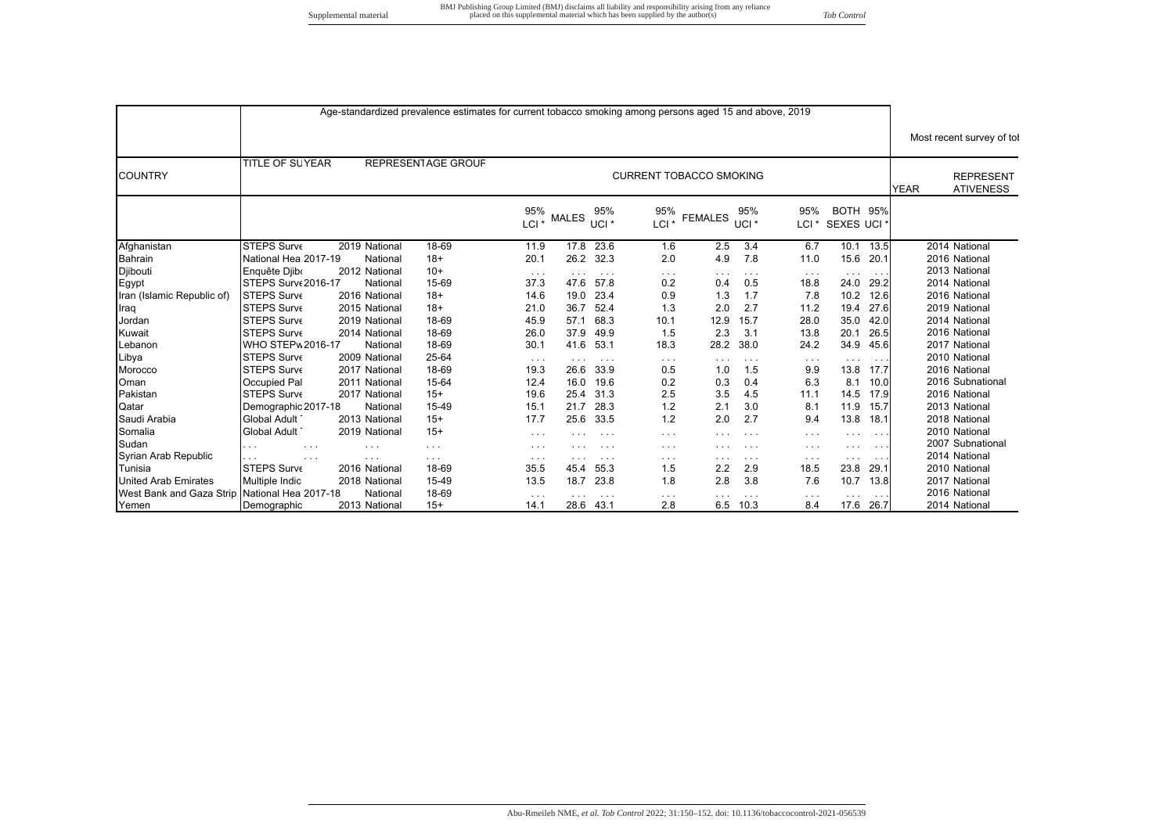| Tob Contre |  |
|------------|--|
|            |  |

|                             |                          |                           | Age-standardized prevalence estimates for current tobacco smoking among persons aged 15 and above, 2019 |                         |              |                         |                         |                |                         |                         |                               |                                                     |                  |
|-----------------------------|--------------------------|---------------------------|---------------------------------------------------------------------------------------------------------|-------------------------|--------------|-------------------------|-------------------------|----------------|-------------------------|-------------------------|-------------------------------|-----------------------------------------------------|------------------|
|                             |                          | Most recent survey of tol |                                                                                                         |                         |              |                         |                         |                |                         |                         |                               |                                                     |                  |
| <b>COUNTRY</b>              | <b>TITLE OF SUYEAR</b>   | REPRESENTAGE GROUF        | <b>CURRENT TOBACCO SMOKING</b>                                                                          |                         |              |                         |                         |                |                         |                         |                               | <b>REPRESENT</b><br><b>YEAR</b><br><b>ATIVENESS</b> |                  |
|                             |                          |                           |                                                                                                         | 95%<br>LCI <sup>*</sup> | <b>MALES</b> | 95%<br>UCI <sup>*</sup> | 95%<br>LCI <sup>*</sup> | <b>FEMALES</b> | 95%<br>UCI <sup>*</sup> | 95%<br>LCI <sup>*</sup> | <b>BOTH 95%</b><br>SEXES UCI* |                                                     |                  |
| Afghanistan                 | <b>STEPS Surve</b>       | 2019 National             | 18-69                                                                                                   | 11.9                    | 17.8         | 23.6                    | 1.6                     | 2.5            | 3.4                     | 6.7                     | 10.1                          | 13.5                                                | 2014 National    |
| <b>Bahrain</b>              | National Hea 2017-19     | National                  | $18+$                                                                                                   | 20.1                    | 26.2         | 32.3                    | 2.0                     | 4.9            | 7.8                     | 11.0                    | 15.6                          | 20.1                                                | 2016 National    |
| Djibouti                    | Enquête Djib             | 2012 National             | $10+$                                                                                                   | $\sim$ $\sim$ $\sim$    |              |                         | $\cdots$                | .              | $\sim$ $\sim$ $\sim$    | $\sim$ $\sim$ $\sim$    | $\sim$ 10 $\sim$              | $\sim$ $\sim$                                       | 2013 National    |
| Egypt                       | STEPS Surve 2016-17      | National                  | 15-69                                                                                                   | 37.3                    | 47.6         | 57.8                    | 0.2                     | 0.4            | 0.5                     | 18.8                    | 24.0                          | 29.2                                                | 2014 National    |
| Iran (Islamic Republic of)  | <b>STEPS Surve</b>       | 2016 National             | $18+$                                                                                                   | 14.6                    | 19.0         | 23.4                    | 0.9                     | 1.3            | 1.7                     | 7.8                     | 10.2                          | 12.6                                                | 2016 National    |
| Iraq                        | <b>STEPS Surve</b>       | 2015 National             | $18+$                                                                                                   | 21.0                    | 36.7         | 52.4                    | 1.3                     | 2.0            | 2.7                     | 11.2                    | 19.4                          | 27.6                                                | 2019 National    |
| Jordan                      | <b>STEPS Surve</b>       | 2019 National             | 18-69                                                                                                   | 45.9                    | 57.1         | 68.3                    | 10.1                    | 12.9           | 15.7                    | 28.0                    | 35.0                          | 42.0                                                | 2014 National    |
| Kuwait                      | <b>STEPS Surve</b>       | 2014 National             | 18-69                                                                                                   | 26.0                    | 37.9         | 49.9                    | 1.5                     | 2.3            | 3.1                     | 13.8                    | 20.1                          | 26.5                                                | 2016 National    |
| Lebanon                     | <b>WHO STEPy 2016-17</b> | National                  | 18-69                                                                                                   | 30.1                    | 41.6         | 53.1                    | 18.3                    | 28.2           | 38.0                    | 24.2                    | 34.9                          | 45.6                                                | 2017 National    |
| Libya                       | <b>STEPS Surve</b>       | 2009 National             | 25-64                                                                                                   | $\cdots$                |              | .                       | $\cdots$                |                | $\cdot$ $\cdot$ $\cdot$ | $\sim$ $\sim$ $\sim$    | $\sim$ $\sim$                 | $\sim$ $\sim$                                       | 2010 National    |
| Morocco                     | <b>STEPS Surve</b>       | 2017 National             | 18-69                                                                                                   | 19.3                    | 26.6         | 33.9                    | 0.5                     | 1.0            | 1.5                     | 9.9                     | 13.8                          | 17.7                                                | 2016 National    |
| Oman                        | <b>Occupied Pal</b>      | 2011 National             | 15-64                                                                                                   | 12.4                    | 16.0         | 19.6                    | 0.2                     | 0.3            | 0.4                     | 6.3                     | 8.1                           | 10.0                                                | 2016 Subnational |
| Pakistan                    | <b>STEPS Surve</b>       | 2017 National             | $15+$                                                                                                   | 19.6                    | 25.4         | 31.3                    | 2.5                     | 3.5            | 4.5                     | 11.1                    | 14.5                          | 17.9                                                | 2016 National    |
| Qatar                       | Demographic 2017-18      | National                  | 15-49                                                                                                   | 15.1                    | 21.7         | 28.3                    | 1.2                     | 2.1            | 3.0                     | 8.1                     | 11.9                          | 15.7                                                | 2013 National    |
| Saudi Arabia                | <b>Global Adult</b>      | 2013 National             | $15+$                                                                                                   | 17.7                    | 25.6         | 33.5                    | 1.2                     | 2.0            | 2.7                     | 9.4                     | 13.8                          | 18.1                                                | 2018 National    |
| Somalia                     | <b>Global Adult</b>      | 2019 National             | $15+$                                                                                                   | $\cdots$                | .            | $\cdots$                | $\cdots$                |                | .                       | $\sim$ $\sim$ $\sim$    | $\cdots$                      | $\sim$ $\sim$                                       | 2010 National    |
| Sudan                       | $\cdot$ $\cdot$ $\cdot$  | .                         | $\cdots$                                                                                                | $\cdots$                | .            | $\cdot$ $\cdot$ $\cdot$ | $\cdots$                | .              | .                       | $\sim$ $\sim$ $\sim$    | $\sim$ $\sim$ $\sim$          | $\sim$ $\sim$ $\sim$                                | 2007 Subnational |
| Syrian Arab Republic        | $\cdots$                 | $\cdots$                  | $\cdots$                                                                                                | $\cdots$                | $\cdots$     | $\sim$ $\sim$ $\sim$    | $\cdots$                | .              | $\sim$ $\sim$ $\sim$    | $\sim$ $\sim$ $\sim$    | $\sim$ $\sim$ $\sim$          | $\sim$ $\sim$ $\sim$                                | 2014 National    |
| Tunisia                     | <b>STEPS Surve</b>       | 2016 National             | 18-69                                                                                                   | 35.5                    | 45.4         | 55.3                    | 1.5                     | 2.2            | 2.9                     | 18.5                    | 23.8                          | 29.1                                                | 2010 National    |
| <b>United Arab Emirates</b> | <b>Multiple Indic</b>    | 2018 National             | 15-49                                                                                                   | 13.5                    | 18.7         | 23.8                    | 1.8                     | 2.8            | 3.8                     | 7.6                     | 10.7                          | 13.8                                                | 2017 National    |
| West Bank and Gaza Strip    | National Hea 2017-18     | National                  | 18-69                                                                                                   | $\sim$ $\sim$ $\sim$    |              | $\cdots$                | $\cdots$                | .              | $\cdots$                | $\sim$ $\sim$ $\sim$    |                               |                                                     | 2016 National    |
| Yemen                       | Demographic              | 2013 National             | $15+$                                                                                                   | 14.1                    |              | 28.6 43.1               | 2.8                     | 6.5            | 10.3                    | 8.4                     | 17.6                          | 26.7                                                | 2014 National    |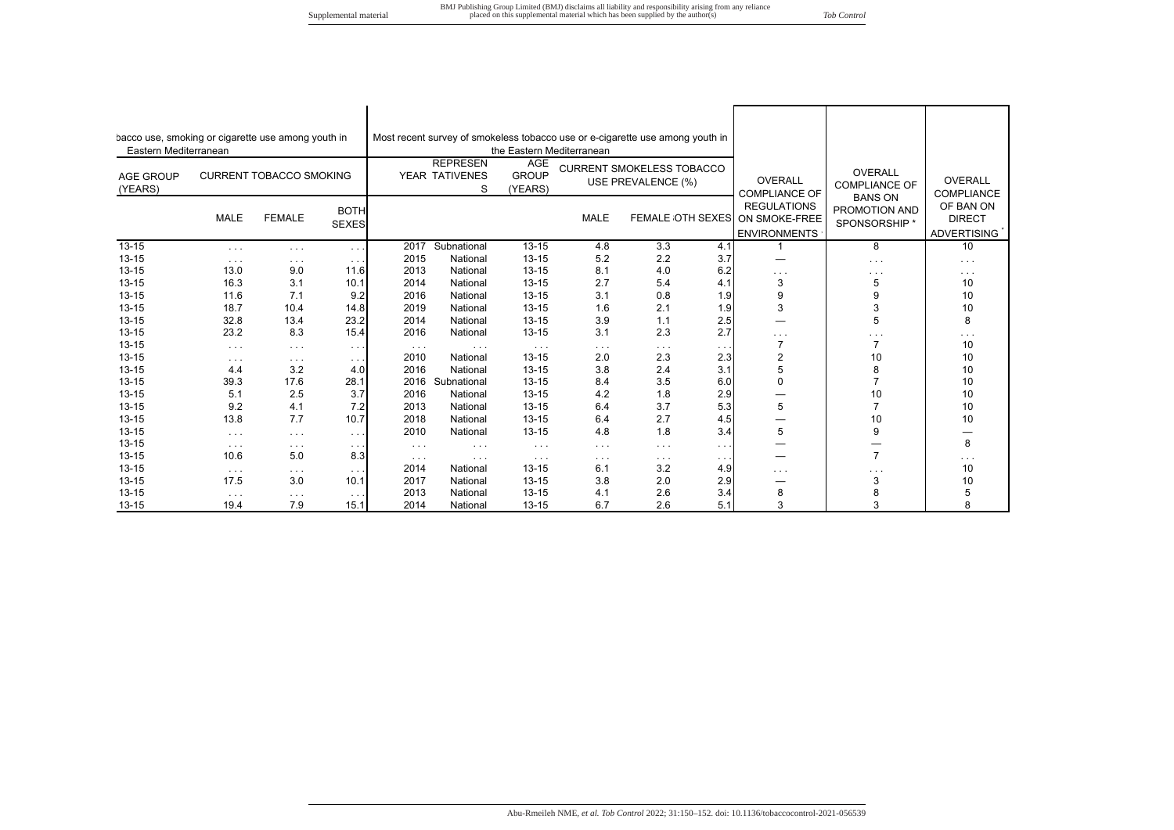| bacco use, smoking or cigarette use among youth in            |                      |                      |                                        | Most recent survey of smokeless tobacco use or e-cigarette use among youth in |                                       |                                                        |             |          |                                        |                                                                             |                                                  |                                                  |
|---------------------------------------------------------------|----------------------|----------------------|----------------------------------------|-------------------------------------------------------------------------------|---------------------------------------|--------------------------------------------------------|-------------|----------|----------------------------------------|-----------------------------------------------------------------------------|--------------------------------------------------|--------------------------------------------------|
| Eastern Mediterranean                                         |                      |                      |                                        |                                                                               |                                       | the Eastern Mediterranean                              |             |          |                                        |                                                                             |                                                  |                                                  |
| <b>CURRENT TOBACCO SMOKING</b><br><b>AGE GROUP</b><br>(YEARS) |                      |                      | <b>REPRESEN</b><br>YEAR TATIVENES<br>S |                                                                               | <b>AGE</b><br><b>GROUP</b><br>(YEARS) | <b>CURRENT SMOKELESS TOBACCO</b><br>USE PREVALENCE (%) |             |          | <b>OVERALL</b><br><b>COMPLIANCE OF</b> | OVERALL<br><b>COMPLIANCE OF</b>                                             | OVERALL<br>COMPLIANCE                            |                                                  |
|                                                               | <b>MALE</b>          | <b>FEMALE</b>        | <b>BOTH</b><br><b>SEXES</b>            |                                                                               |                                       |                                                        | <b>MALE</b> |          |                                        | <b>REGULATIONS</b><br>FEMALE OTH SEXES ON SMOKE-FREE<br><b>ENVIRONMENTS</b> | <b>BANS ON</b><br>PROMOTION AND<br>SPONSORSHIP * | OF BAN ON<br><b>DIRECT</b><br><b>ADVERTISING</b> |
| $13 - 15$                                                     | $\sim$ $\sim$ $\sim$ | $\sim$ $\sim$ $\sim$ | $\sim$ $\sim$ $\sim$                   | 2017                                                                          | Subnational                           | $13 - 15$                                              | 4.8         | 3.3      | 4.1                                    |                                                                             | 8                                                | 10                                               |
| $13 - 15$                                                     | $\cdots$             | $\sim$ $\sim$ $\sim$ | $\sim$ $\sim$ $\sim$                   | 2015                                                                          | National                              | $13 - 15$                                              | 5.2         | 2.2      | 3.7                                    |                                                                             | $\sim$ $\sim$ $\sim$                             | $\cdots$                                         |
| $13 - 15$                                                     | 13.0                 | 9.0                  | 11.6                                   | 2013                                                                          | National                              | $13 - 15$                                              | 8.1         | 4.0      | 6.2                                    | $\cdots$                                                                    | $\sim$ $\sim$ $\sim$                             | $\cdots$                                         |
| $13 - 15$                                                     | 16.3                 | 3.1                  | 10.1                                   | 2014                                                                          | National                              | $13 - 15$                                              | 2.7         | 5.4      | 4.1                                    | 3                                                                           | 5                                                | 10                                               |
| $13 - 15$                                                     | 11.6                 | 7.1                  | 9.2                                    | 2016                                                                          | National                              | $13 - 15$                                              | 3.1         | 0.8      | 1.9                                    | 9                                                                           | 9                                                | 10                                               |
| $13 - 15$                                                     | 18.7                 | 10.4                 | 14.8                                   | 2019                                                                          | National                              | $13 - 15$                                              | 1.6         | 2.1      | 1.9                                    | 3                                                                           | 3                                                | 10                                               |
| $13 - 15$                                                     | 32.8                 | 13.4                 | 23.2                                   | 2014                                                                          | National                              | $13 - 15$                                              | 3.9         | 1.1      | 2.5                                    |                                                                             | 5                                                | 8                                                |
| 13-15                                                         | 23.2                 | 8.3                  | 15.4                                   | 2016                                                                          | National                              | $13 - 15$                                              | 3.1         | 2.3      | 2.7                                    | $\cdots$                                                                    | $\cdots$                                         | .                                                |
| $13 - 15$                                                     | $\sim$ $\sim$ $\sim$ | $\cdots$             | $\cdots$                               | $\sim$ $\sim$ $\sim$                                                          | $\cdots$                              | $\sim$ $\sim$ $\sim$                                   | .           | $\cdots$ | $\cdots$                               | $\overline{7}$                                                              | $\overline{7}$                                   | 10                                               |
| $13 - 15$                                                     | $\sim$ $\sim$ $\sim$ | $\sim$ $\sim$ $\sim$ | $\sim$ $\sim$ $\sim$                   | 2010                                                                          | National                              | $13 - 15$                                              | 2.0         | 2.3      | 2.3                                    | 2                                                                           | 10                                               | 10                                               |
| $13 - 15$                                                     | 4.4                  | 3.2                  | 4.0                                    | 2016                                                                          | National                              | $13 - 15$                                              | 3.8         | 2.4      | 3.1                                    | 5                                                                           | 8                                                | 10                                               |
| 13-15                                                         | 39.3                 | 17.6                 | 28.1                                   |                                                                               | 2016 Subnational                      | $13 - 15$                                              | 8.4         | 3.5      | 6.0                                    | 0                                                                           | $\overline{7}$                                   | 10                                               |
| $13 - 15$                                                     | 5.1                  | 2.5                  | 3.7                                    | 2016                                                                          | National                              | $13 - 15$                                              | 4.2         | 1.8      | 2.9                                    |                                                                             | 10                                               | 10                                               |
| $13 - 15$                                                     | 9.2                  | 4.1                  | 7.2                                    | 2013                                                                          | National                              | $13 - 15$                                              | 6.4         | 3.7      | 5.3                                    | 5                                                                           | $\overline{7}$                                   | 10                                               |
| 13-15                                                         | 13.8                 | 7.7                  | 10.7                                   | 2018                                                                          | National                              | $13 - 15$                                              | 6.4         | 2.7      | 4.5                                    |                                                                             | 10                                               | 10                                               |
| $13 - 15$                                                     | $\cdots$             | $\cdots$             | $\sim$ $\sim$ $\sim$                   | 2010                                                                          | National                              | $13 - 15$                                              | 4.8         | 1.8      | 3.4                                    | 5                                                                           | 9                                                |                                                  |
| $13 - 15$                                                     | $\sim$ $\sim$ $\sim$ | $\sim$ $\sim$ $\sim$ | $\sim$ $\sim$                          | $\sim$ $\sim$ $\sim$                                                          | .                                     | $\cdots$                                               | .           | $\cdots$ | .                                      |                                                                             |                                                  | 8                                                |
| $13 - 15$                                                     | 10.6                 | 5.0                  | 8.3                                    | $\sim$ $\sim$ $\sim$                                                          | $\cdots$                              | $\sim$ $\sim$ $\sim$                                   | .           | $\cdots$ | $\cdots$                               |                                                                             | $\overline{7}$                                   | .                                                |
| $13 - 15$                                                     | $\sim$ $\sim$ $\sim$ | $\sim$ $\sim$ $\sim$ | $\sim$ $\sim$ $\sim$                   | 2014                                                                          | National                              | $13 - 15$                                              | 6.1         | 3.2      | 4.9                                    | $\cdots$                                                                    | $\sim$ $\sim$ $\sim$                             | 10                                               |
| $13 - 15$                                                     | 17.5                 | 3.0                  | 10.1                                   | 2017                                                                          | National                              | $13 - 15$                                              | 3.8         | 2.0      | 2.9                                    |                                                                             | 3                                                | 10                                               |
| $13 - 15$                                                     | $\sim$ $\sim$ $\sim$ | $\sim$ $\sim$ $\sim$ | $\sim$ $\sim$                          | 2013                                                                          | National                              | $13 - 15$                                              | 4.1         | 2.6      | 3.4                                    | 8                                                                           | 8                                                | 5                                                |
| 13-15                                                         | 19.4                 | 7.9                  | 15.1                                   | 2014                                                                          | National                              | $13 - 15$                                              | 6.7         | 2.6      | 5.1                                    | 3                                                                           | 3                                                | 8                                                |